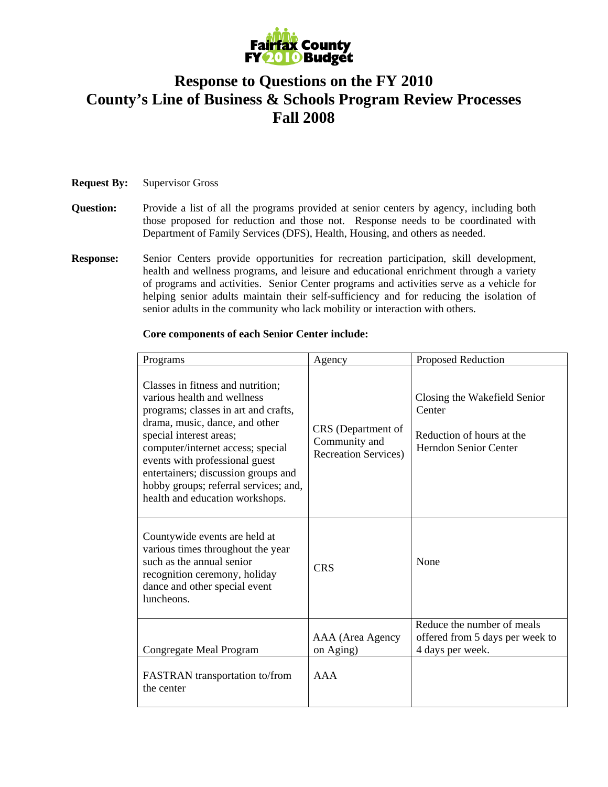

## **Response to Questions on the FY 2010 County's Line of Business & Schools Program Review Processes Fall 2008**

## **Request By:** Supervisor Gross

- **Question:** Provide a list of all the programs provided at senior centers by agency, including both those proposed for reduction and those not. Response needs to be coordinated with Department of Family Services (DFS), Health, Housing, and others as needed.
- **Response:** Senior Centers provide opportunities for recreation participation, skill development, health and wellness programs, and leisure and educational enrichment through a variety of programs and activities. Senior Center programs and activities serve as a vehicle for helping senior adults maintain their self-sufficiency and for reducing the isolation of senior adults in the community who lack mobility or interaction with others.

## **Core components of each Senior Center include:**

| Programs                                                                                                                                                                                                                                                                                                                                                        | Agency                                                              | Proposed Reduction                                                                                  |  |
|-----------------------------------------------------------------------------------------------------------------------------------------------------------------------------------------------------------------------------------------------------------------------------------------------------------------------------------------------------------------|---------------------------------------------------------------------|-----------------------------------------------------------------------------------------------------|--|
| Classes in fitness and nutrition;<br>various health and wellness<br>programs; classes in art and crafts,<br>drama, music, dance, and other<br>special interest areas;<br>computer/internet access; special<br>events with professional guest<br>entertainers; discussion groups and<br>hobby groups; referral services; and,<br>health and education workshops. | CRS (Department of<br>Community and<br><b>Recreation Services</b> ) | Closing the Wakefield Senior<br>Center<br>Reduction of hours at the<br><b>Herndon Senior Center</b> |  |
| Countywide events are held at<br>various times throughout the year<br>such as the annual senior<br>recognition ceremony, holiday<br>dance and other special event<br>luncheons.                                                                                                                                                                                 | <b>CRS</b>                                                          | None                                                                                                |  |
| Congregate Meal Program                                                                                                                                                                                                                                                                                                                                         | AAA (Area Agency<br>on Aging)                                       | Reduce the number of meals<br>offered from 5 days per week to<br>4 days per week.                   |  |
| FASTRAN transportation to/from<br>the center                                                                                                                                                                                                                                                                                                                    | AAA                                                                 |                                                                                                     |  |